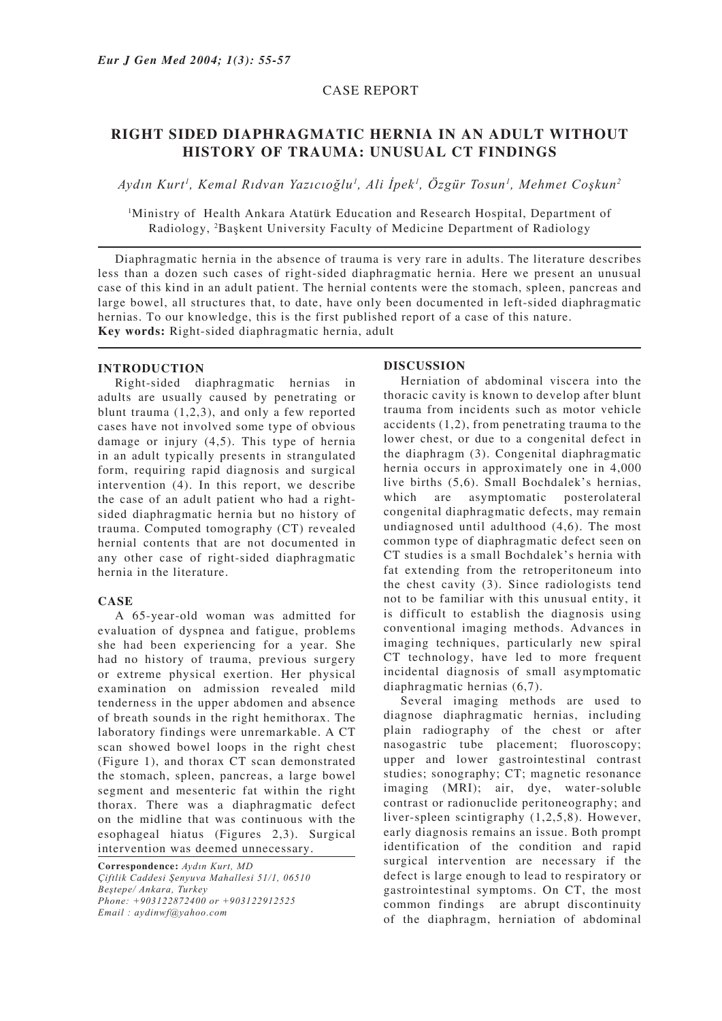## CASE REPORT

# **RIGHT SIDED DIAPHRAGMATIC HERNIA IN AN ADULT WITHOUT HISTORY OF TRAUMA: UNUSUAL CT FINDINGS**

*Aydın Kurt1 , Kemal Rıdvan Yazıcıoğlu1 , Ali İpek1 , Özgür Tosun1 , Mehmet Coşkun2*

1 Ministry of Health Ankara Atatürk Education and Research Hospital, Department of Radiology, 2 Başkent University Faculty of Medicine Department of Radiology

Diaphragmatic hernia in the absence of trauma is very rare in adults. The literature describes less than a dozen such cases of right-sided diaphragmatic hernia. Here we present an unusual case of this kind in an adult patient. The hernial contents were the stomach, spleen, pancreas and large bowel, all structures that, to date, have only been documented in left-sided diaphragmatic hernias. To our knowledge, this is the first published report of a case of this nature. **Key words:** Right-sided diaphragmatic hernia, adult

### **INTRODUCTION**

Right-sided diaphragmatic hernias in adults are usually caused by penetrating or blunt trauma (1,2,3), and only a few reported cases have not involved some type of obvious damage or injury (4,5). This type of hernia in an adult typically presents in strangulated form, requiring rapid diagnosis and surgical intervention (4). In this report, we describe the case of an adult patient who had a rightsided diaphragmatic hernia but no history of trauma. Computed tomography (CT) revealed hernial contents that are not documented in any other case of right-sided diaphragmatic hernia in the literature.

### **CASE**

A 65-year-old woman was admitted for evaluation of dyspnea and fatigue, problems she had been experiencing for a year. She had no history of trauma, previous surgery or extreme physical exertion. Her physical examination on admission revealed mild tenderness in the upper abdomen and absence of breath sounds in the right hemithorax. The laboratory findings were unremarkable. A CT scan showed bowel loops in the right chest (Figure 1), and thorax CT scan demonstrated the stomach, spleen, pancreas, a large bowel segment and mesenteric fat within the right thorax. There was a diaphragmatic defect on the midline that was continuous with the esophageal hiatus (Figures 2,3). Surgical intervention was deemed unnecessary.

**Correspondence:** *Aydın Kurt, MD Çiftlik Caddesi Şenyuva Mahallesi 51/1, 06510 Beştepe/ Ankara, Turkey Phone: +903122872400 or +903122912525 Email : aydinwf@yahoo.com*

### **DISCUSSION**

Herniation of abdominal viscera into the thoracic cavity is known to develop after blunt trauma from incidents such as motor vehicle accidents (1,2), from penetrating trauma to the lower chest, or due to a congenital defect in the diaphragm (3). Congenital diaphragmatic hernia occurs in approximately one in  $4,000$ live births (5,6). Small Bochdalek's hernias, which are asymptomatic posterolateral congenital diaphragmatic defects, may remain undiagnosed until adulthood (4,6). The most common type of diaphragmatic defect seen on CT studies is a small Bochdalek's hernia with fat extending from the retroperitoneum into the chest cavity (3). Since radiologists tend not to be familiar with this unusual entity, it is difficult to establish the diagnosis using conventional imaging methods. Advances in imaging techniques, particularly new spiral CT technology, have led to more frequent incidental diagnosis of small asymptomatic diaphragmatic hernias (6,7).

Several imaging methods are used to diagnose diaphragmatic hernias, including plain radiography of the chest or after nasogastric tube placement; fluoroscopy; upper and lower gastrointestinal contrast studies; sonography; CT; magnetic resonance imaging (MRI); air, dye, water-soluble contrast or radionuclide peritoneography; and liver-spleen scintigraphy (1,2,5,8). However, early diagnosis remains an issue. Both prompt identification of the condition and rapid surgical intervention are necessary if the defect is large enough to lead to respiratory or gastrointestinal symptoms. On CT, the most common findings are abrupt discontinuity of the diaphragm, herniation of abdominal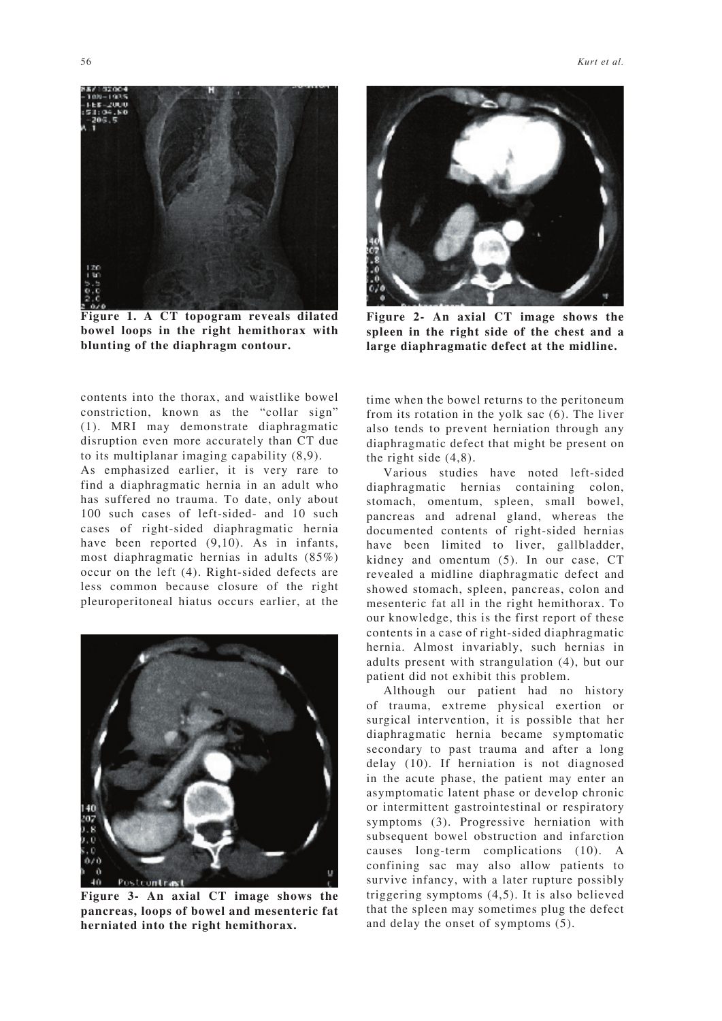

**Figure 1. A CT topogram reveals dilated bowel loops in the right hemithorax with blunting of the diaphragm contour.**

contents into the thorax, and waistlike bowel constriction, known as the "collar sign" (1). MRI may demonstrate diaphragmatic disruption even more accurately than CT due to its multiplanar imaging capability (8,9).

As emphasized earlier, it is very rare to find a diaphragmatic hernia in an adult who has suffered no trauma. To date, only about 100 such cases of left-sided- and 10 such cases of right-sided diaphragmatic hernia have been reported  $(9,10)$ . As in infants, most diaphragmatic hernias in adults (85%) occur on the left (4). Right-sided defects are less common because closure of the right pleuroperitoneal hiatus occurs earlier, at the



**Figure 3- An axial CT image shows the pancreas, loops of bowel and mesenteric fat herniated into the right hemithorax.**



**Figure 2- An axial CT image shows the spleen in the right side of the chest and a large diaphragmatic defect at the midline.**

time when the bowel returns to the peritoneum from its rotation in the yolk sac (6). The liver also tends to prevent herniation through any diaphragmatic defect that might be present on the right side (4,8).

Various studies have noted left-sided diaphragmatic hernias containing colon, stomach, omentum, spleen, small bowel, pancreas and adrenal gland, whereas the documented contents of right-sided hernias have been limited to liver, gallbladder, kidney and omentum (5). In our case, CT revealed a midline diaphragmatic defect and showed stomach, spleen, pancreas, colon and mesenteric fat all in the right hemithorax. To our knowledge, this is the first report of these contents in a case of right-sided diaphragmatic hernia. Almost invariably, such hernias in adults present with strangulation (4), but our patient did not exhibit this problem.

Although our patient had no history of trauma, extreme physical exertion or surgical intervention, it is possible that her diaphragmatic hernia became symptomatic secondary to past trauma and after a long delay (10). If herniation is not diagnosed in the acute phase, the patient may enter an asymptomatic latent phase or develop chronic or intermittent gastrointestinal or respiratory symptoms (3). Progressive herniation with subsequent bowel obstruction and infarction causes long-term complications (10). A confining sac may also allow patients to survive infancy, with a later rupture possibly triggering symptoms (4,5). It is also believed that the spleen may sometimes plug the defect and delay the onset of symptoms (5).